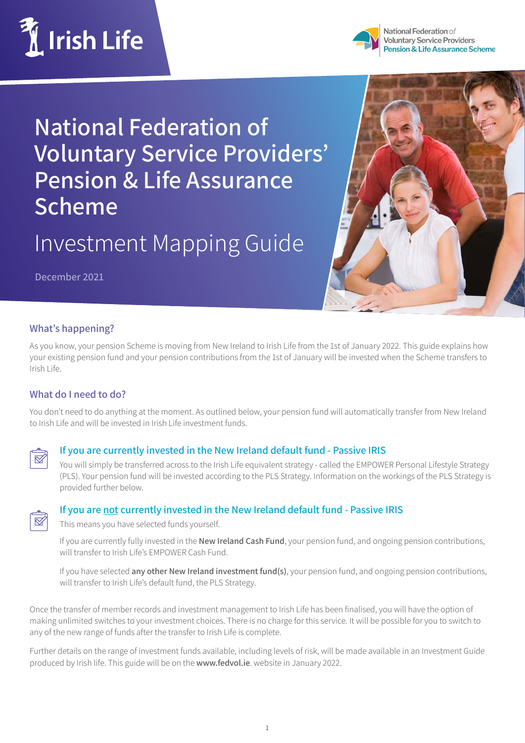



National Federation of **Voluntary Service Providers Pension & Life Assurance Scheme** 

**National Federation of Voluntary Service Providers' Pension & Life Assurance Scheme** 

Investment Mapping Guide

**December 2021**



## **What's happening?**

As you know, your pension Scheme is moving from New Ireland to Irish Life from the 1st of January 2022. This guide explains how your existing pension fund and your pension contributions from the 1st of January will be invested when the Scheme transfers to Irish Life.

## **What do I need to do?**

You don't need to do anything at the moment. As outlined below, your pension fund will automatically transfer from New Ireland to Irish Life and will be invested in Irish Life investment funds.



### **If you are currently invested in the New Ireland default fund - Passive IRIS**

You will simply be transferred across to the Irish Life equivalent strategy - called the EMPOWER Personal Lifestyle Strategy (PLS). Your pension fund will be invested according to the PLS Strategy. Information on the workings of the PLS Strategy is provided further below.



### **If you are not currently invested in the New Ireland default fund - Passive IRIS**

This means you have selected funds yourself.

If you are currently fully invested in the **New Ireland Cash Fund**, your pension fund, and ongoing pension contributions, will transfer to Irish Life's EMPOWER Cash Fund.

If you have selected **any other New Ireland investment fund(s)**, your pension fund, and ongoing pension contributions, will transfer to Irish Life's default fund, the PLS Strategy.

Once the transfer of member records and investment management to Irish Life has been finalised, you will have the option of making unlimited switches to your investment choices. There is no charge for this service. It will be possible for you to switch to any of the new range of funds after the transfer to Irish Life is complete.

Further details on the range of investment funds available, including levels of risk, will be made available in an Investment Guide produced by Irish life. This guide will be on the **www.fedvol.ie**. website in January 2022.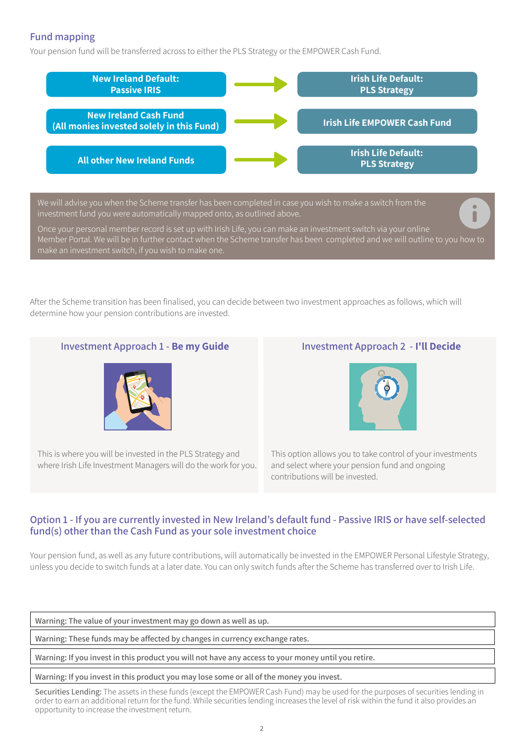# **Fund mapping**

Your pension fund will be transferred across to either the PLS Strategy or the EMPOWER Cash Fund.



We will advise you when the Scheme transfer has been completed in case you wish to make a switch from the investment fund you were automatically mapped onto, as outlined above.

Once your personal member record is set up with Irish Life, you can make an investment switch via your online Member Portal. We will be in further contact when the Scheme transfer has been completed and we will outline to you how to make an investment switch, if you wish to make one.

After the Scheme transition has been finalised, you can decide between two investment approaches as follows, which will determine how your pension contributions are invested.

### **Investment Approach 1 - Be my Guide Investment Approach 2 - I'll Decide**



This is where you will be invested in the PLS Strategy and where Irish Life Investment Managers will do the work for you.



This option allows you to take control of your investments and select where your pension fund and ongoing contributions will be invested.

## **Option 1 - If you are currently invested in New Ireland's default fund - Passive IRIS or have self-selected fund(s) other than the Cash Fund as your sole investment choice**

Your pension fund, as well as any future contributions, will automatically be invested in the EMPOWER Personal Lifestyle Strategy, unless you decide to switch funds at a later date. You can only switch funds after the Scheme has transferred over to Irish Life.

**Warning: The value of your investment may go down as well as up.**

**Warning: These funds may be affected by changes in currency exchange rates.**

**Warning: If you invest in this product you will not have any access to your money until you retire.**

**Warning: If you invest in this product you may lose some or all of the money you invest.**

Securities Lending: The assets in these funds (except the EMPOWER Cash Fund) may be used for the purposes of securities lending in order to earn an additional return for the fund. While securities lending increases the level of risk within the fund it also provides an opportunity to increase the investment return.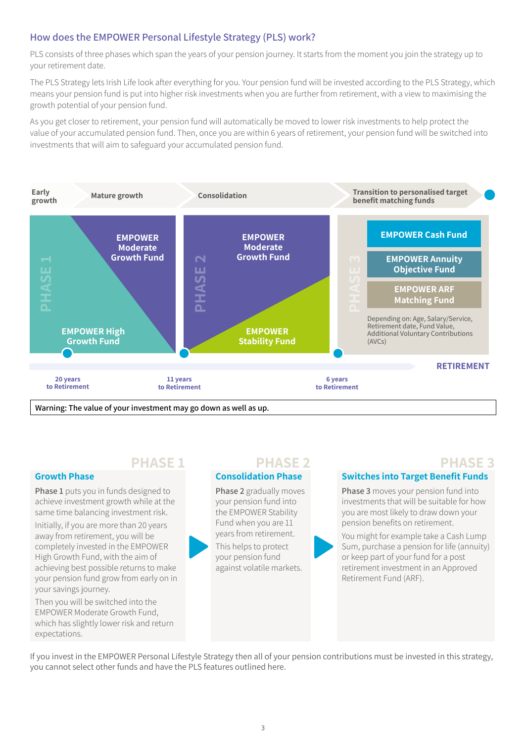# **How does the EMPOWER Personal Lifestyle Strategy (PLS) work?**

PLS consists of three phases which span the years of your pension journey. It starts from the moment you join the strategy up to your retirement date.

The PLS Strategy lets Irish Life look after everything for you. Your pension fund will be invested according to the PLS Strategy, which means your pension fund is put into higher risk investments when you are further from retirement, with a view to maximising the growth potential of your pension fund.

As you get closer to retirement, your pension fund will automatically be moved to lower risk investments to help protect the value of your accumulated pension fund. Then, once you are within 6 years of retirement, your pension fund will be switched into investments that will aim to safeguard your accumulated pension fund.



**Growth Phase**

your savings journey.

expectations.

Then you will be switched into the EMPOWER Moderate Growth Fund, which has slightly lower risk and return

**Phase 1** puts you in funds designed to achieve investment growth while at the same time balancing investment risk. Initially, if you are more than 20 years away from retirement, you will be completely invested in the EMPOWER High Growth Fund, with the aim of achieving best possible returns to make your pension fund grow from early on in **Consolidation Phase**

**Phase 2** gradually moves your pension fund into the EMPOWER Stability Fund when you are 11 years from retirement.

This helps to protect your pension fund against volatile markets.

# **PHASE 1 PHASE 2 PHASE 3**

**Switches into Target Benefit Funds**

**Phase 3** moves your pension fund into investments that will be suitable for how you are most likely to draw down your pension benefits on retirement.

You might for example take a Cash Lump Sum, purchase a pension for life (annuity) or keep part of your fund for a post retirement investment in an Approved Retirement Fund (ARF).

If you invest in the EMPOWER Personal Lifestyle Strategy then all of your pension contributions must be invested in this strategy, you cannot select other funds and have the PLS features outlined here.

3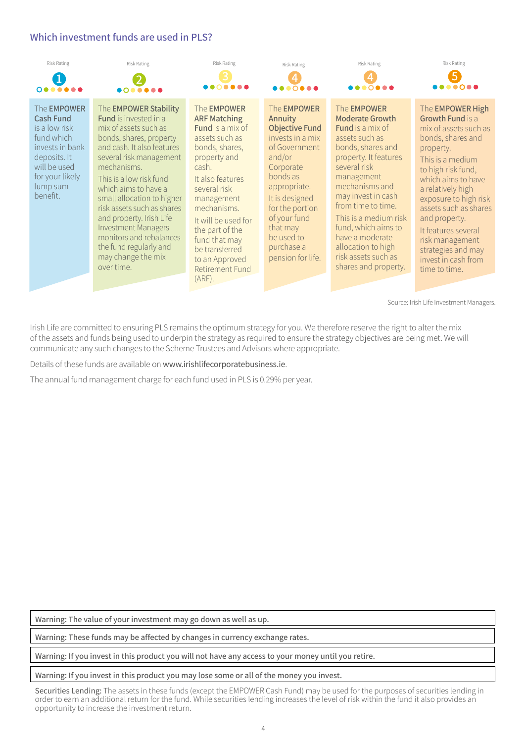## **Which investment funds are used in PLS?**



Source: Irish Life Investment Managers.

Irish Life are committed to ensuring PLS remains the optimum strategy for you. We therefore reserve the right to alter the mix of the assets and funds being used to underpin the strategy as required to ensure the strategy objectives are being met. We will communicate any such changes to the Scheme Trustees and Advisors where appropriate.

Details of these funds are available on www.irishlifecorporatebusiness.ie.

The annual fund management charge for each fund used in PLS is 0.29% per year.

**Warning: The value of your investment may go down as well as up.**

**Warning: These funds may be affected by changes in currency exchange rates.**

**Warning: If you invest in this product you will not have any access to your money until you retire.**

**Warning: If you invest in this product you may lose some or all of the money you invest.**

Securities Lending: The assets in these funds (except the EMPOWER Cash Fund) may be used for the purposes of securities lending in order to earn an additional return for the fund. While securities lending increases the level of risk within the fund it also provides an opportunity to increase the investment return.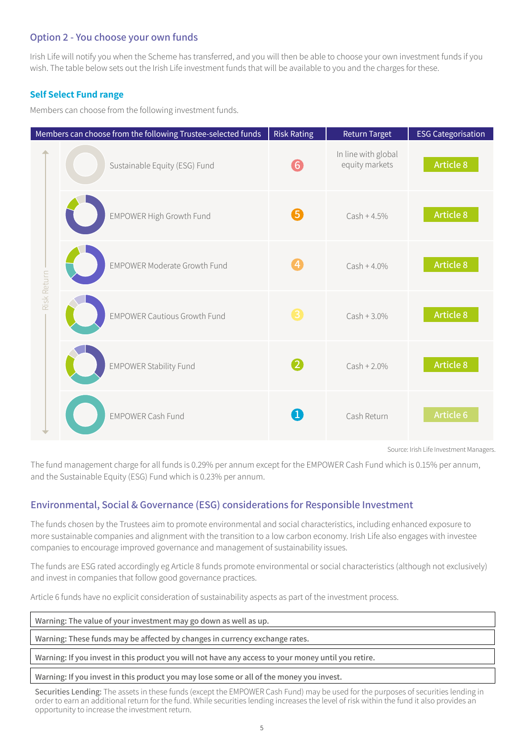### **Option 2 - You choose your own funds**

Irish Life will notify you when the Scheme has transferred, and you will then be able to choose your own investment funds if you wish. The table below sets out the Irish Life investment funds that will be available to you and the charges for these.

### **Self Select Fund range**

Members can choose from the following investment funds.

|             | Members can choose from the following Trustee-selected funds | <b>Risk Rating</b> | <b>Return Target</b>                  | <b>ESG Categorisation</b> |
|-------------|--------------------------------------------------------------|--------------------|---------------------------------------|---------------------------|
| Risk Return | Sustainable Equity (ESG) Fund                                | 6                  | In line with global<br>equity markets | <b>Article 8</b>          |
|             | <b>EMPOWER High Growth Fund</b>                              | 6                  | $Cash + 4.5%$                         | <b>Article 8</b>          |
|             | <b>EMPOWER Moderate Growth Fund</b>                          | $\bigcirc$         | $Cash + 4.0%$                         | <b>Article 8</b>          |
|             | <b>EMPOWER Cautious Growth Fund</b>                          | 8                  | $Cash + 3.0\%$                        | <b>Article 8</b>          |
|             | <b>EMPOWER Stability Fund</b>                                | 2                  | $Cash + 2.0\%$                        | <b>Article 8</b>          |
|             | <b>EMPOWER Cash Fund</b>                                     | $\left( 1\right)$  | Cash Return                           | Article 6                 |

Source: Irish Life Investment Managers.

The fund management charge for all funds is 0.29% per annum except for the EMPOWER Cash Fund which is 0.15% per annum, and the Sustainable Equity (ESG) Fund which is 0.23% per annum.

## **Environmental, Social & Governance (ESG) considerations for Responsible Investment**

The funds chosen by the Trustees aim to promote environmental and social characteristics, including enhanced exposure to more sustainable companies and alignment with the transition to a low carbon economy. Irish Life also engages with investee companies to encourage improved governance and management of sustainability issues.

The funds are ESG rated accordingly eg Article 8 funds promote environmental or social characteristics (although not exclusively) and invest in companies that follow good governance practices.

Article 6 funds have no explicit consideration of sustainability aspects as part of the investment process.

| Warning: The value of your investment may go down as well as up.            |
|-----------------------------------------------------------------------------|
| Warning: These funds may be affected by changes in currency exchange rates. |
|                                                                             |

**Warning: If you invest in this product you will not have any access to your money until you retire.**

**Warning: If you invest in this product you may lose some or all of the money you invest.**

Securities Lending: The assets in these funds (except the EMPOWER Cash Fund) may be used for the purposes of securities lending in order to earn an additional return for the fund. While securities lending increases the level of risk within the fund it also provides an opportunity to increase the investment return.